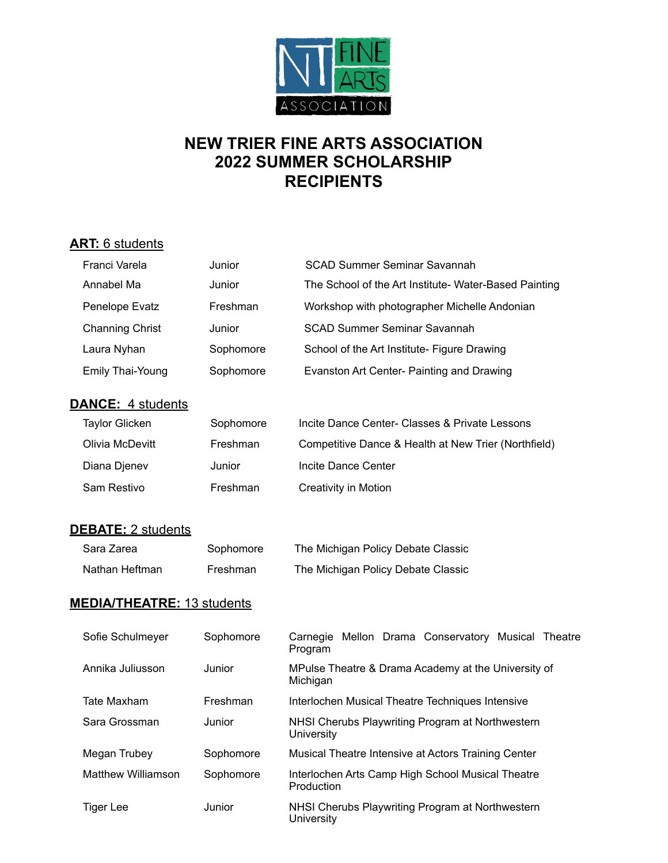

# **NEW TRIER FINE ARTS ASSOCIATION 2022 SUMMER SCHOLARSHIP RECIPIENTS**

#### **ART:** 6 students

| Franci Varela                     | Junior    | <b>SCAD Summer Seminar Savannah</b>                             |
|-----------------------------------|-----------|-----------------------------------------------------------------|
| Annabel Ma                        | Junior    | The School of the Art Institute- Water-Based Painting           |
| Penelope Evatz                    | Freshman  | Workshop with photographer Michelle Andonian                    |
| <b>Channing Christ</b>            | Junior    | <b>SCAD Summer Seminar Savannah</b>                             |
| Laura Nyhan                       | Sophomore | School of the Art Institute- Figure Drawing                     |
| Emily Thai-Young                  | Sophomore | Evanston Art Center- Painting and Drawing                       |
| <b>DANCE: 4 students</b>          |           |                                                                 |
| <b>Taylor Glicken</b>             | Sophomore | Incite Dance Center- Classes & Private Lessons                  |
| Olivia McDevitt                   | Freshman  | Competitive Dance & Health at New Trier (Northfield)            |
| Diana Djenev                      | Junior    | Incite Dance Center                                             |
| Sam Restivo                       | Freshman  | <b>Creativity in Motion</b>                                     |
| <b>DEBATE: 2 students</b>         |           |                                                                 |
| Sara Zarea                        | Sophomore | The Michigan Policy Debate Classic                              |
| Nathan Heftman                    | Freshman  | The Michigan Policy Debate Classic                              |
| <b>MEDIA/THEATRE: 13 students</b> |           |                                                                 |
|                                   |           |                                                                 |
| Sofie Schulmeyer                  | Sophomore | Carnegie Mellon Drama Conservatory Musical Theatre<br>Program   |
| Annika Juliusson                  | Junior    | MPulse Theatre & Drama Academy at the University of<br>Michigan |
| <b>Tate Maxham</b>                | Freshman  | Interlochen Musical Theatre Techniques Intensive                |
| Sara Grossman                     | Junior    | NHSI Cherubs Playwriting Program at Northwestern<br>University  |
| Megan Trubey                      | Sophomore | Musical Theatre Intensive at Actors Training Center             |
| <b>Matthew Williamson</b>         | Sophomore | Interlochen Arts Camp High School Musical Theatre<br>Production |

Tiger Lee **Junior** Junior NHSI Cherubs Playwriting Program at Northwestern **University**